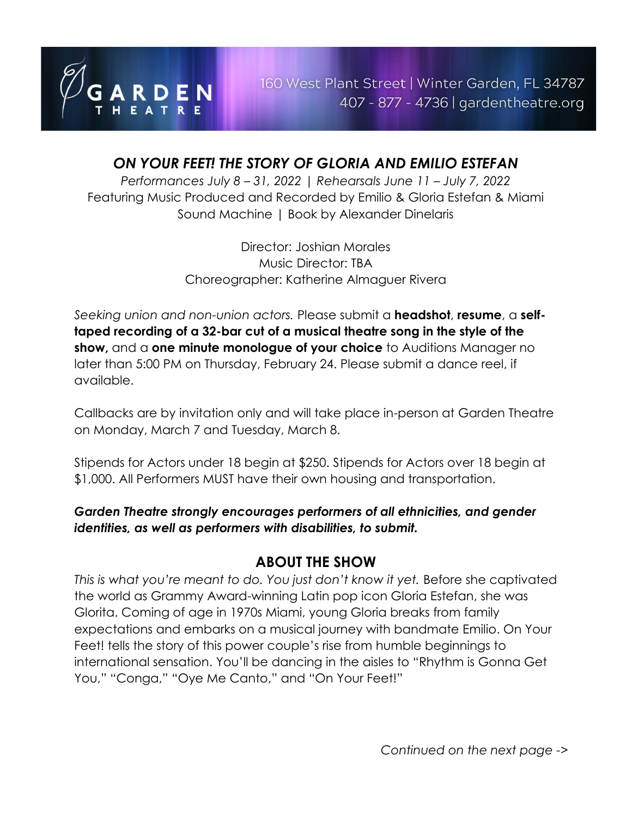

# *ON YOUR FEET! THE STORY OF GLORIA AND EMILIO ESTEFAN*

*Performances July 8 – 31, 2022 | Rehearsals June 11 – July 7, 2022* Featuring Music Produced and Recorded by Emilio & Gloria Estefan & Miami Sound Machine | Book by Alexander Dinelaris

> Director: Joshian Morales Music Director: TBA Choreographer: Katherine Almaguer Rivera

*Seeking union and non-union actors.* Please submit a **headshot**, **resume**, a **selftaped recording of a 32-bar cut of a musical theatre song in the style of the show,** and a **one minute monologue of your choice** to Auditions Manager no later than 5:00 PM on Thursday, February 24. Please submit a dance reel, if available.

Callbacks are by invitation only and will take place in-person at Garden Theatre on Monday, March 7 and Tuesday, March 8.

Stipends for Actors under 18 begin at \$250. Stipends for Actors over 18 begin at \$1,000. All Performers MUST have their own housing and transportation.

### *Garden Theatre strongly encourages performers of all ethnicities, and gender identities, as well as performers with disabilities, to submit.*

# **ABOUT THE SHOW**

*This is what you're meant to do. You just don't know it yet.* Before she captivated the world as Grammy Award-winning Latin pop icon Gloria Estefan, she was Glorita. Coming of age in 1970s Miami, young Gloria breaks from family expectations and embarks on a musical journey with bandmate Emilio. On Your Feet! tells the story of this power couple's rise from humble beginnings to international sensation. You'll be dancing in the aisles to "Rhythm is Gonna Get You," "Conga," "Oye Me Canto," and "On Your Feet!"